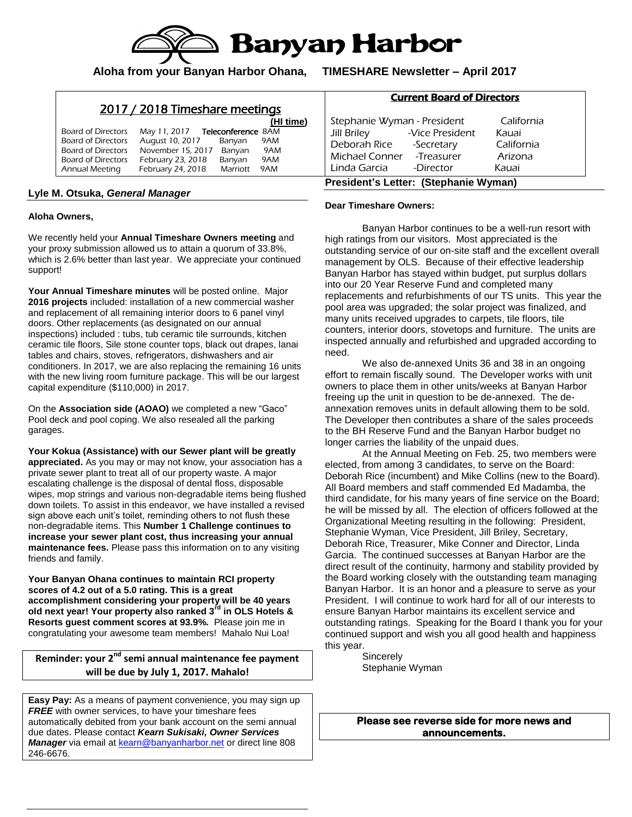

**Aloha from your Banyan Harbor Ohana, TIMESHARE Newsletter – April 2017**

# 2017 / 2018 Timeshare meetings

|                           |                   |                           | (HI time) |
|---------------------------|-------------------|---------------------------|-----------|
| Board of Directors        | May 11, 2017      | <b>Teleconference 8AM</b> |           |
| <b>Board of Directors</b> | August 10, 2017   | Banyan                    | 9AM       |
| Board of Directors        | November 15, 2017 | Banyan                    | 9AM       |
| Board of Directors        | February 23, 2018 | Banyan                    | 9AM       |
| <b>Annual Meeting</b>     | February 24, 2018 | Marriott                  | 9AM       |

### **Lyle M. Otsuka,** *General Manager*

#### **Aloha Owners,**

We recently held your **Annual Timeshare Owners meeting** and your proxy submission allowed us to attain a quorum of 33.8%, which is 2.6% better than last year. We appreciate your continued support!

**Your Annual Timeshare minutes** will be posted online. Major **2016 projects** included: installation of a new commercial washer and replacement of all remaining interior doors to 6 panel vinyl doors. Other replacements (as designated on our annual inspections) included : tubs, tub ceramic tile surrounds, kitchen ceramic tile floors, Sile stone counter tops, black out drapes, lanai tables and chairs, stoves, refrigerators, dishwashers and air conditioners. In 2017, we are also replacing the remaining 16 units with the new living room furniture package. This will be our largest capital expenditure (\$110,000) in 2017.

On the **Association side (AOAO)** we completed a new "Gaco" Pool deck and pool coping. We also resealed all the parking garages.

**Your Kokua (Assistance) with our Sewer plant will be greatly appreciated.** As you may or may not know, your association has a private sewer plant to treat all of our property waste. A major escalating challenge is the disposal of dental floss, disposable wipes, mop strings and various non-degradable items being flushed down toilets. To assist in this endeavor, we have installed a revised sign above each unit's toilet, reminding others to not flush these non-degradable items. This **Number 1 Challenge continues to increase your sewer plant cost, thus increasing your annual maintenance fees.** Please pass this information on to any visiting friends and family.

**Your Banyan Ohana continues to maintain RCI property scores of 4.2 out of a 5.0 rating. This is a great accomplishment considering your property will be 40 years old next year! Your property also ranked 3rd in OLS Hotels & Resorts guest comment scores at 93.9%.** Please join me in congratulating your awesome team members! Mahalo Nui Loa!

**Reminder: your 2nd semi annual maintenance fee payment will be due by July 1, 2017. Mahalo!**

**Easy Pay:** As a means of payment convenience, you may sign up **FREE** with owner services, to have your timeshare fees automatically debited from your bank account on the semi annual due dates. Please contact *Kearn Sukisaki, Owner Services*  Manager via email at [kearn@banyanharbor.net](mailto:kearn@banyanharbor.net) or direct line 808 246-6676.

### Current Board of Directors

| Stephanie Wyman - President           |                 | California |  |  |
|---------------------------------------|-----------------|------------|--|--|
| <b>Jill Briley</b>                    | -Vice President | Kauai      |  |  |
| Deborah Rice                          | -Secretary      | California |  |  |
| Michael Conner - Treasurer            |                 | Arizona    |  |  |
| Linda Garcia                          | -Director       | Kauai      |  |  |
| President's Letter: (Stephanie Wyman) |                 |            |  |  |

#### **Dear Timeshare Owners:**

Banyan Harbor continues to be a well-run resort with high ratings from our visitors. Most appreciated is the outstanding service of our on-site staff and the excellent overall management by OLS. Because of their effective leadership Banyan Harbor has stayed within budget, put surplus dollars into our 20 Year Reserve Fund and completed many replacements and refurbishments of our TS units. This year the pool area was upgraded; the solar project was finalized, and many units received upgrades to carpets, tile floors, tile counters, interior doors, stovetops and furniture. The units are inspected annually and refurbished and upgraded according to need.

We also de-annexed Units 36 and 38 in an ongoing effort to remain fiscally sound. The Developer works with unit owners to place them in other units/weeks at Banyan Harbor freeing up the unit in question to be de-annexed. The deannexation removes units in default allowing them to be sold. The Developer then contributes a share of the sales proceeds to the BH Reserve Fund and the Banyan Harbor budget no longer carries the liability of the unpaid dues.

At the Annual Meeting on Feb. 25, two members were elected, from among 3 candidates, to serve on the Board: Deborah Rice (incumbent) and Mike Collins (new to the Board). All Board members and staff commended Ed Madamba, the third candidate, for his many years of fine service on the Board; he will be missed by all. The election of officers followed at the Organizational Meeting resulting in the following: President, Stephanie Wyman, Vice President, Jill Briley, Secretary, Deborah Rice, Treasurer, Mike Conner and Director, Linda Garcia. The continued successes at Banyan Harbor are the direct result of the continuity, harmony and stability provided by the Board working closely with the outstanding team managing Banyan Harbor. It is an honor and a pleasure to serve as your President. I will continue to work hard for all of our interests to ensure Banyan Harbor maintains its excellent service and outstanding ratings. Speaking for the Board I thank you for your continued support and wish you all good health and happiness this year.

**Sincerely** Stephanie Wyman

**Please see reverse side for more news and announcements.**